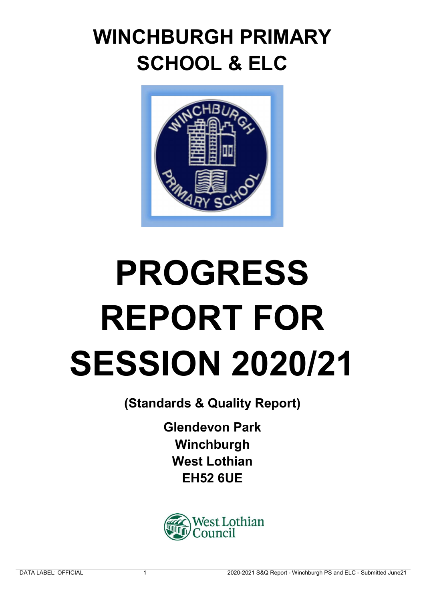## WINCHBURGH PRIMARY SCHOOL & ELC



# PROGRESS REPORT FOR SESSION 2020/21

(Standards & Quality Report)

Glendevon Park Winchburgh West Lothian EH52 6UE

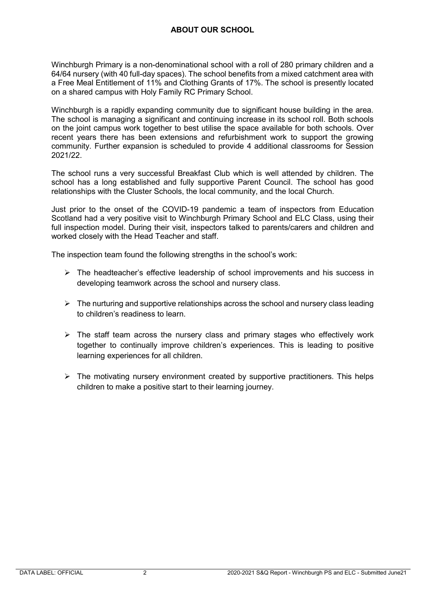### ABOUT OUR SCHOOL

Winchburgh Primary is a non-denominational school with a roll of 280 primary children and a 64/64 nursery (with 40 full-day spaces). The school benefits from a mixed catchment area with a Free Meal Entitlement of 11% and Clothing Grants of 17%. The school is presently located on a shared campus with Holy Family RC Primary School.

Winchburgh is a rapidly expanding community due to significant house building in the area. The school is managing a significant and continuing increase in its school roll. Both schools on the joint campus work together to best utilise the space available for both schools. Over recent years there has been extensions and refurbishment work to support the growing community. Further expansion is scheduled to provide 4 additional classrooms for Session 2021/22.

The school runs a very successful Breakfast Club which is well attended by children. The school has a long established and fully supportive Parent Council. The school has good relationships with the Cluster Schools, the local community, and the local Church.

Just prior to the onset of the COVID-19 pandemic a team of inspectors from Education Scotland had a very positive visit to Winchburgh Primary School and ELC Class, using their full inspection model. During their visit, inspectors talked to parents/carers and children and worked closely with the Head Teacher and staff.

The inspection team found the following strengths in the school's work:

- $\triangleright$  The headteacher's effective leadership of school improvements and his success in developing teamwork across the school and nursery class.
- $\triangleright$  The nurturing and supportive relationships across the school and nursery class leading to children's readiness to learn.
- $\triangleright$  The staff team across the nursery class and primary stages who effectively work together to continually improve children's experiences. This is leading to positive learning experiences for all children.
- $\triangleright$  The motivating nursery environment created by supportive practitioners. This helps children to make a positive start to their learning journey.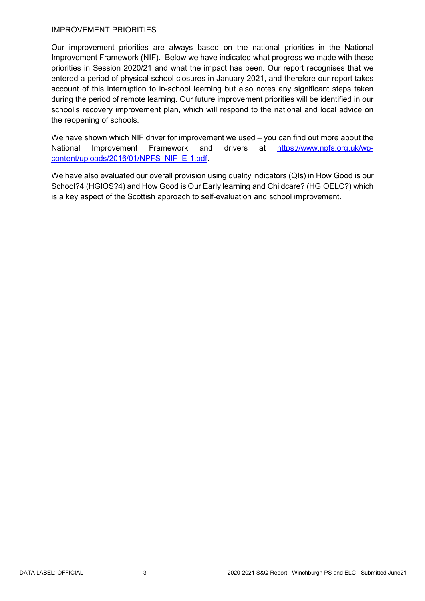#### IMPROVEMENT PRIORITIES

Our improvement priorities are always based on the national priorities in the National Improvement Framework (NIF). Below we have indicated what progress we made with these priorities in Session 2020/21 and what the impact has been. Our report recognises that we entered a period of physical school closures in January 2021, and therefore our report takes account of this interruption to in-school learning but also notes any significant steps taken during the period of remote learning. Our future improvement priorities will be identified in our school's recovery improvement plan, which will respond to the national and local advice on the reopening of schools.

We have shown which NIF driver for improvement we used – you can find out more about the National Improvement Framework and drivers at https://www.npfs.org.uk/wpcontent/uploads/2016/01/NPFS\_NIF\_E-1.pdf.

We have also evaluated our overall provision using quality indicators (QIs) in How Good is our School?4 (HGIOS?4) and How Good is Our Early learning and Childcare? (HGIOELC?) which is a key aspect of the Scottish approach to self-evaluation and school improvement.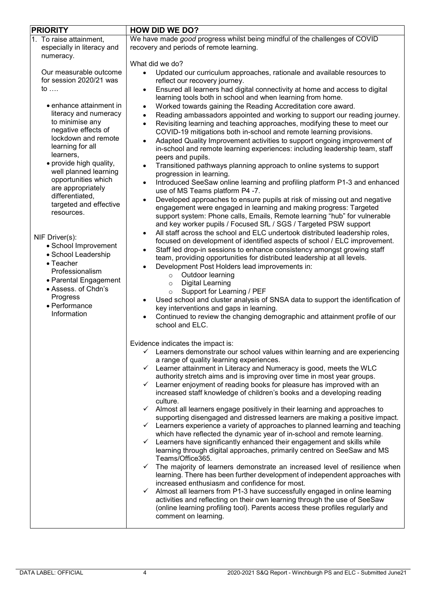| <b>PRIORITY</b><br><b>HOW DID WE DO?</b>                                                                                                                                                                                                                                                                                                                                                                                                                                                                                                                                                           |                                                                                                                                                                                                                                                                                                                                                                                                                                                                                                                                                                                                                                                                                                                                                                                                                                                                                                                                                                                                                                                                                                                                                                                                                                                                                                                                                                                                                                                                                                                                                                                                                                                                                                                                                                                                                                                                                                                                                                                                                                                                                             |
|----------------------------------------------------------------------------------------------------------------------------------------------------------------------------------------------------------------------------------------------------------------------------------------------------------------------------------------------------------------------------------------------------------------------------------------------------------------------------------------------------------------------------------------------------------------------------------------------------|---------------------------------------------------------------------------------------------------------------------------------------------------------------------------------------------------------------------------------------------------------------------------------------------------------------------------------------------------------------------------------------------------------------------------------------------------------------------------------------------------------------------------------------------------------------------------------------------------------------------------------------------------------------------------------------------------------------------------------------------------------------------------------------------------------------------------------------------------------------------------------------------------------------------------------------------------------------------------------------------------------------------------------------------------------------------------------------------------------------------------------------------------------------------------------------------------------------------------------------------------------------------------------------------------------------------------------------------------------------------------------------------------------------------------------------------------------------------------------------------------------------------------------------------------------------------------------------------------------------------------------------------------------------------------------------------------------------------------------------------------------------------------------------------------------------------------------------------------------------------------------------------------------------------------------------------------------------------------------------------------------------------------------------------------------------------------------------------|
| 1. To raise attainment,<br>especially in literacy and                                                                                                                                                                                                                                                                                                                                                                                                                                                                                                                                              | We have made good progress whilst being mindful of the challenges of COVID<br>recovery and periods of remote learning.                                                                                                                                                                                                                                                                                                                                                                                                                                                                                                                                                                                                                                                                                                                                                                                                                                                                                                                                                                                                                                                                                                                                                                                                                                                                                                                                                                                                                                                                                                                                                                                                                                                                                                                                                                                                                                                                                                                                                                      |
| numeracy.<br>Our measurable outcome<br>for session 2020/21 was<br>to $\dots$<br>• enhance attainment in<br>literacy and numeracy<br>to minimise any<br>negative effects of<br>lockdown and remote<br>learning for all<br>learners,<br>• provide high quality,<br>well planned learning<br>opportunities which<br>are appropriately<br>differentiated,<br>targeted and effective<br>resources.<br>NIF Driver(s):<br>• School Improvement<br>• School Leadership<br>$\bullet$ Teacher<br>Professionalism<br>• Parental Engagement<br>• Assess. of Chdn's<br>Progress<br>• Performance<br>Information | What did we do?<br>Updated our curriculum approaches, rationale and available resources to<br>reflect our recovery journey.<br>Ensured all learners had digital connectivity at home and access to digital<br>$\bullet$<br>learning tools both in school and when learning from home.<br>Worked towards gaining the Reading Accreditation core award.<br>$\bullet$<br>Reading ambassadors appointed and working to support our reading journey.<br>$\bullet$<br>Revisiting learning and teaching approaches, modifying these to meet our<br>COVID-19 mitigations both in-school and remote learning provisions.<br>Adapted Quality Improvement activities to support ongoing improvement of<br>$\bullet$<br>in-school and remote learning experiences: including leadership team, staff<br>peers and pupils.<br>Transitioned pathways planning approach to online systems to support<br>progression in learning.<br>Introduced SeeSaw online learning and profiling platform P1-3 and enhanced<br>use of MS Teams platform P4 -7.<br>Developed approaches to ensure pupils at risk of missing out and negative<br>engagement were engaged in learning and making progress: Targeted<br>support system: Phone calls, Emails, Remote learning "hub" for vulnerable<br>and key worker pupils / Focused SfL / SGS / Targeted PSW support<br>All staff across the school and ELC undertook distributed leadership roles,<br>$\bullet$<br>focused on development of identified aspects of school / ELC improvement.<br>Staff led drop-in sessions to enhance consistency amongst growing staff<br>$\bullet$<br>team, providing opportunities for distributed leadership at all levels.<br>Development Post Holders lead improvements in:<br>$\bullet$<br>Outdoor learning<br>$\circ$<br><b>Digital Learning</b><br>$\circ$<br>Support for Learning / PEF<br>$\circ$<br>Used school and cluster analysis of SNSA data to support the identification of<br>key interventions and gaps in learning.<br>Continued to review the changing demographic and attainment profile of our<br>school and ELC. |
|                                                                                                                                                                                                                                                                                                                                                                                                                                                                                                                                                                                                    | Evidence indicates the impact is:<br>$\checkmark$ Learners demonstrate our school values within learning and are experiencing<br>a range of quality learning experiences.<br>$\checkmark$ Learner attainment in Literacy and Numeracy is good, meets the WLC<br>authority stretch aims and is improving over time in most year groups.<br>Learner enjoyment of reading books for pleasure has improved with an<br>✓<br>increased staff knowledge of children's books and a developing reading<br>culture.<br>$\checkmark$ Almost all learners engage positively in their learning and approaches to<br>supporting disengaged and distressed learners are making a positive impact.<br>$\checkmark$ Learners experience a variety of approaches to planned learning and teaching<br>which have reflected the dynamic year of in-school and remote learning.<br>Learners have significantly enhanced their engagement and skills while<br>✓<br>learning through digital approaches, primarily centred on SeeSaw and MS<br>Teams/Office365.<br>The majority of learners demonstrate an increased level of resilience when<br>$\checkmark$<br>learning. There has been further development of independent approaches with<br>increased enthusiasm and confidence for most.<br>Almost all learners from P1-3 have successfully engaged in online learning<br>✓<br>activities and reflecting on their own learning through the use of SeeSaw<br>(online learning profiling tool). Parents access these profiles regularly and<br>comment on learning.                                                                                                                                                                                                                                                                                                                                                                                                                                                                                                                                             |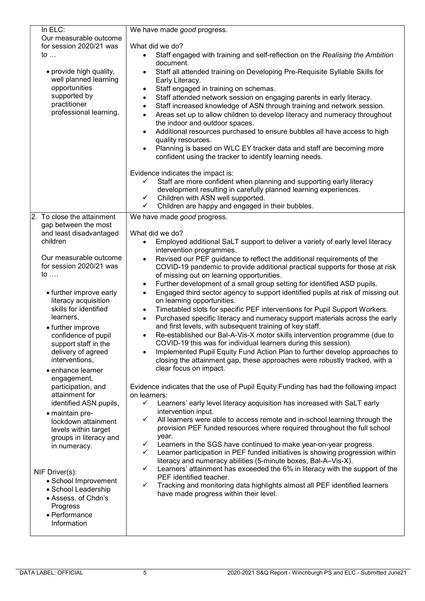| In ELC:                                                                                                                     | We have made good progress.                                                                                                                                                                                                                                                                                                                                                                                                                                                                                                                                                                                                                                                                                                                                                                                                                                                                                    |  |
|-----------------------------------------------------------------------------------------------------------------------------|----------------------------------------------------------------------------------------------------------------------------------------------------------------------------------------------------------------------------------------------------------------------------------------------------------------------------------------------------------------------------------------------------------------------------------------------------------------------------------------------------------------------------------------------------------------------------------------------------------------------------------------------------------------------------------------------------------------------------------------------------------------------------------------------------------------------------------------------------------------------------------------------------------------|--|
| Our measurable outcome                                                                                                      |                                                                                                                                                                                                                                                                                                                                                                                                                                                                                                                                                                                                                                                                                                                                                                                                                                                                                                                |  |
| for session 2020/21 was                                                                                                     | What did we do?                                                                                                                                                                                                                                                                                                                                                                                                                                                                                                                                                                                                                                                                                                                                                                                                                                                                                                |  |
| to $\ldots$                                                                                                                 | Staff engaged with training and self-reflection on the Realising the Ambition<br>document.                                                                                                                                                                                                                                                                                                                                                                                                                                                                                                                                                                                                                                                                                                                                                                                                                     |  |
| • provide high quality,<br>well planned learning<br>opportunities<br>supported by<br>practitioner<br>professional learning. | Staff all attended training on Developing Pre-Requisite Syllable Skills for<br>$\bullet$<br>Early Literacy.<br>Staff engaged in training on schemas.<br>$\bullet$<br>Staff attended network session on engaging parents in early literacy.<br>$\bullet$<br>Staff increased knowledge of ASN through training and network session.<br>$\bullet$<br>Areas set up to allow children to develop literacy and numeracy throughout<br>$\bullet$<br>the indoor and outdoor spaces.<br>Additional resources purchased to ensure bubbles all have access to high<br>$\bullet$<br>quality resources.<br>Planning is based on WLC EY tracker data and staff are becoming more<br>confident using the tracker to identify learning needs.<br>Evidence indicates the impact is:<br>Staff are more confident when planning and supporting early literacy<br>development resulting in carefully planned learning experiences. |  |
|                                                                                                                             | Children with ASN well supported.<br>$\checkmark$                                                                                                                                                                                                                                                                                                                                                                                                                                                                                                                                                                                                                                                                                                                                                                                                                                                              |  |
| 2. To close the attainment<br>gap between the most                                                                          | Children are happy and engaged in their bubbles.<br>✓<br>We have made good progress.                                                                                                                                                                                                                                                                                                                                                                                                                                                                                                                                                                                                                                                                                                                                                                                                                           |  |
| and least disadvantaged                                                                                                     | What did we do?                                                                                                                                                                                                                                                                                                                                                                                                                                                                                                                                                                                                                                                                                                                                                                                                                                                                                                |  |
| children                                                                                                                    | Employed additional SaLT support to deliver a variety of early level literacy                                                                                                                                                                                                                                                                                                                                                                                                                                                                                                                                                                                                                                                                                                                                                                                                                                  |  |
|                                                                                                                             | intervention programmes.                                                                                                                                                                                                                                                                                                                                                                                                                                                                                                                                                                                                                                                                                                                                                                                                                                                                                       |  |
| Our measurable outcome                                                                                                      | Revised our PEF guidance to reflect the additional requirements of the                                                                                                                                                                                                                                                                                                                                                                                                                                                                                                                                                                                                                                                                                                                                                                                                                                         |  |
| for session 2020/21 was                                                                                                     | COVID-19 pandemic to provide additional practical supports for those at risk                                                                                                                                                                                                                                                                                                                                                                                                                                                                                                                                                                                                                                                                                                                                                                                                                                   |  |
| to $\dots$                                                                                                                  | of missing out on learning opportunities.                                                                                                                                                                                                                                                                                                                                                                                                                                                                                                                                                                                                                                                                                                                                                                                                                                                                      |  |
|                                                                                                                             | Further development of a small group setting for identified ASD pupils.<br>$\bullet$                                                                                                                                                                                                                                                                                                                                                                                                                                                                                                                                                                                                                                                                                                                                                                                                                           |  |
| • further improve early                                                                                                     | Engaged third sector agency to support identified pupils at risk of missing out<br>$\bullet$                                                                                                                                                                                                                                                                                                                                                                                                                                                                                                                                                                                                                                                                                                                                                                                                                   |  |
| literacy acquisition<br>skills for identified                                                                               | on learning opportunities.                                                                                                                                                                                                                                                                                                                                                                                                                                                                                                                                                                                                                                                                                                                                                                                                                                                                                     |  |
| learners,                                                                                                                   | Timetabled slots for specific PEF interventions for Pupil Support Workers.<br>$\bullet$<br>Purchased specific literacy and numeracy support materials across the early                                                                                                                                                                                                                                                                                                                                                                                                                                                                                                                                                                                                                                                                                                                                         |  |
| • further improve                                                                                                           | $\bullet$<br>and first levels, with subsequent training of key staff.                                                                                                                                                                                                                                                                                                                                                                                                                                                                                                                                                                                                                                                                                                                                                                                                                                          |  |
| confidence of pupil                                                                                                         | Re-established our Bal-A-Vis-X motor skills intervention programme (due to<br>$\bullet$                                                                                                                                                                                                                                                                                                                                                                                                                                                                                                                                                                                                                                                                                                                                                                                                                        |  |
| support staff in the                                                                                                        | COVID-19 this was for individual learners during this session).                                                                                                                                                                                                                                                                                                                                                                                                                                                                                                                                                                                                                                                                                                                                                                                                                                                |  |
| delivery of agreed                                                                                                          | Implemented Pupil Equity Fund Action Plan to further develop approaches to                                                                                                                                                                                                                                                                                                                                                                                                                                                                                                                                                                                                                                                                                                                                                                                                                                     |  |
| interventions,                                                                                                              | closing the attainment gap, these approaches were robustly tracked, with a                                                                                                                                                                                                                                                                                                                                                                                                                                                                                                                                                                                                                                                                                                                                                                                                                                     |  |
| • enhance learner                                                                                                           | clear focus on impact.                                                                                                                                                                                                                                                                                                                                                                                                                                                                                                                                                                                                                                                                                                                                                                                                                                                                                         |  |
| engagement,                                                                                                                 |                                                                                                                                                                                                                                                                                                                                                                                                                                                                                                                                                                                                                                                                                                                                                                                                                                                                                                                |  |
| participation, and                                                                                                          | Evidence indicates that the use of Pupil Equity Funding has had the following impact                                                                                                                                                                                                                                                                                                                                                                                                                                                                                                                                                                                                                                                                                                                                                                                                                           |  |
| attainment for                                                                                                              | on learners:                                                                                                                                                                                                                                                                                                                                                                                                                                                                                                                                                                                                                                                                                                                                                                                                                                                                                                   |  |
| identified ASN pupils,                                                                                                      | Learners' early level literacy acquisition has increased with SaLT early<br>$\checkmark$                                                                                                                                                                                                                                                                                                                                                                                                                                                                                                                                                                                                                                                                                                                                                                                                                       |  |
| • maintain pre-                                                                                                             | intervention input.                                                                                                                                                                                                                                                                                                                                                                                                                                                                                                                                                                                                                                                                                                                                                                                                                                                                                            |  |
| lockdown attainment<br>levels within target                                                                                 | All learners were able to access remote and in-school learning through the<br>✓<br>provision PEF funded resources where required throughout the full school                                                                                                                                                                                                                                                                                                                                                                                                                                                                                                                                                                                                                                                                                                                                                    |  |
| groups in literacy and                                                                                                      | year.                                                                                                                                                                                                                                                                                                                                                                                                                                                                                                                                                                                                                                                                                                                                                                                                                                                                                                          |  |
| in numeracy.                                                                                                                | Learners in the SGS have continued to make year-on-year progress.<br>✓                                                                                                                                                                                                                                                                                                                                                                                                                                                                                                                                                                                                                                                                                                                                                                                                                                         |  |
|                                                                                                                             | Learner participation in PEF funded initiatives is showing progression within<br>✓                                                                                                                                                                                                                                                                                                                                                                                                                                                                                                                                                                                                                                                                                                                                                                                                                             |  |
|                                                                                                                             | literacy and numeracy abilities (5-minute boxes, Bal-A-Vis-X).<br>Learners' attainment has exceeded the 6% in literacy with the support of the<br>✓                                                                                                                                                                                                                                                                                                                                                                                                                                                                                                                                                                                                                                                                                                                                                            |  |
| NIF Driver(s):                                                                                                              | PEF identified teacher.                                                                                                                                                                                                                                                                                                                                                                                                                                                                                                                                                                                                                                                                                                                                                                                                                                                                                        |  |
| • School Improvement                                                                                                        | Tracking and monitoring data highlights almost all PEF identified learners<br>✓                                                                                                                                                                                                                                                                                                                                                                                                                                                                                                                                                                                                                                                                                                                                                                                                                                |  |
| • School Leadership<br>• Assess. of Chdn's                                                                                  | have made progress within their level.                                                                                                                                                                                                                                                                                                                                                                                                                                                                                                                                                                                                                                                                                                                                                                                                                                                                         |  |
| Progress                                                                                                                    |                                                                                                                                                                                                                                                                                                                                                                                                                                                                                                                                                                                                                                                                                                                                                                                                                                                                                                                |  |
| • Performance                                                                                                               |                                                                                                                                                                                                                                                                                                                                                                                                                                                                                                                                                                                                                                                                                                                                                                                                                                                                                                                |  |
| Information                                                                                                                 |                                                                                                                                                                                                                                                                                                                                                                                                                                                                                                                                                                                                                                                                                                                                                                                                                                                                                                                |  |
|                                                                                                                             |                                                                                                                                                                                                                                                                                                                                                                                                                                                                                                                                                                                                                                                                                                                                                                                                                                                                                                                |  |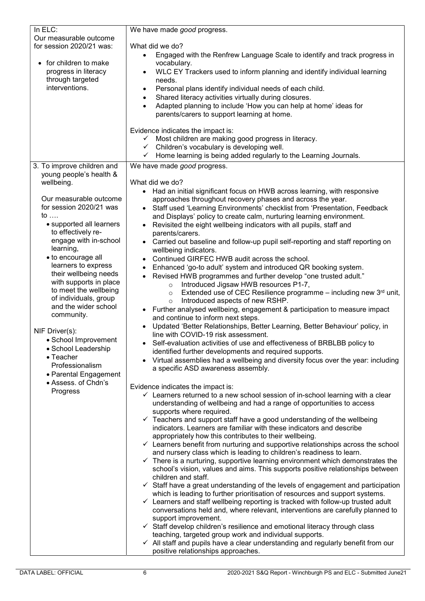| In ELC:                    | We have made good progress.                                                                    |  |
|----------------------------|------------------------------------------------------------------------------------------------|--|
| Our measurable outcome     |                                                                                                |  |
| for session 2020/21 was:   | What did we do?                                                                                |  |
|                            | Engaged with the Renfrew Language Scale to identify and track progress in<br>$\bullet$         |  |
| for children to make       | vocabulary.                                                                                    |  |
| progress in literacy       | WLC EY Trackers used to inform planning and identify individual learning<br>$\bullet$          |  |
| through targeted           | needs.                                                                                         |  |
| interventions.             | Personal plans identify individual needs of each child.                                        |  |
|                            | $\bullet$                                                                                      |  |
|                            | Shared literacy activities virtually during closures.                                          |  |
|                            | Adapted planning to include 'How you can help at home' ideas for<br>$\bullet$                  |  |
|                            | parents/carers to support learning at home.                                                    |  |
|                            |                                                                                                |  |
|                            | Evidence indicates the impact is:                                                              |  |
|                            | ✓ Most children are making good progress in literacy.                                          |  |
|                            | $\checkmark$ Children's vocabulary is developing well.                                         |  |
|                            | ✓ Home learning is being added regularly to the Learning Journals.                             |  |
| 3. To improve children and | We have made good progress.                                                                    |  |
| young people's health &    |                                                                                                |  |
| wellbeing.                 | What did we do?                                                                                |  |
|                            | Had an initial significant focus on HWB across learning, with responsive<br>$\bullet$          |  |
| Our measurable outcome     | approaches throughout recovery phases and across the year.                                     |  |
| for session 2020/21 was    | Staff used 'Learning Environments' checklist from 'Presentation, Feedback                      |  |
| to                         | and Displays' policy to create calm, nurturing learning environment.                           |  |
| • supported all learners   | Revisited the eight wellbeing indicators with all pupils, staff and                            |  |
| to effectively re-         | parents/carers.                                                                                |  |
| engage with in-school      | Carried out baseline and follow-up pupil self-reporting and staff reporting on                 |  |
| learning,                  | wellbeing indicators.                                                                          |  |
| · to encourage all         | Continued GIRFEC HWB audit across the school.<br>$\bullet$                                     |  |
| learners to express        | Enhanced 'go-to adult' system and introduced QR booking system.                                |  |
| their wellbeing needs      | Revised HWB programmes and further develop "one trusted adult."                                |  |
| with supports in place     | Introduced Jigsaw HWB resources P1-7,<br>$\circ$                                               |  |
| to meet the wellbeing      | Extended use of CEC Resilience programme - including new 3rd unit,<br>$\circ$                  |  |
| of individuals, group      | Introduced aspects of new RSHP.<br>$\circ$                                                     |  |
| and the wider school       | • Further analysed wellbeing, engagement & participation to measure impact                     |  |
| community.                 | and continue to inform next steps.                                                             |  |
|                            | Updated 'Better Relationships, Better Learning, Better Behaviour' policy, in                   |  |
| NIF Driver(s):             | line with COVID-19 risk assessment.                                                            |  |
| • School Improvement       | Self-evaluation activities of use and effectiveness of BRBLBB policy to                        |  |
| · School Leadership        | identified further developments and required supports.                                         |  |
| • Teacher                  | Virtual assemblies had a wellbeing and diversity focus over the year: including                |  |
| Professionalism            | a specific ASD awareness assembly.                                                             |  |
| • Parental Engagement      |                                                                                                |  |
| • Assess. of Chdn's        | Evidence indicates the impact is:                                                              |  |
| Progress                   | $\checkmark$ Learners returned to a new school session of in-school learning with a clear      |  |
|                            | understanding of wellbeing and had a range of opportunities to access                          |  |
|                            | supports where required.                                                                       |  |
|                            | $\checkmark$ Teachers and support staff have a good understanding of the wellbeing             |  |
|                            | indicators. Learners are familiar with these indicators and describe                           |  |
|                            | appropriately how this contributes to their wellbeing.                                         |  |
|                            | $\checkmark$ Learners benefit from nurturing and supportive relationships across the school    |  |
|                            | and nursery class which is leading to children's readiness to learn.                           |  |
|                            | $\checkmark$ There is a nurturing, supportive learning environment which demonstrates the      |  |
|                            | school's vision, values and aims. This supports positive relationships between                 |  |
|                            | children and staff.                                                                            |  |
|                            | $\checkmark$ Staff have a great understanding of the levels of engagement and participation    |  |
|                            | which is leading to further prioritisation of resources and support systems.                   |  |
|                            | Learners and staff wellbeing reporting is tracked with follow-up trusted adult<br>$\checkmark$ |  |
|                            | conversations held and, where relevant, interventions are carefully planned to                 |  |
|                            | support improvement.                                                                           |  |
|                            | $\checkmark$ Staff develop children's resilience and emotional literacy through class          |  |
|                            | teaching, targeted group work and individual supports.                                         |  |
|                            | $\checkmark$ All staff and pupils have a clear understanding and regularly benefit from our    |  |
|                            | positive relationships approaches.                                                             |  |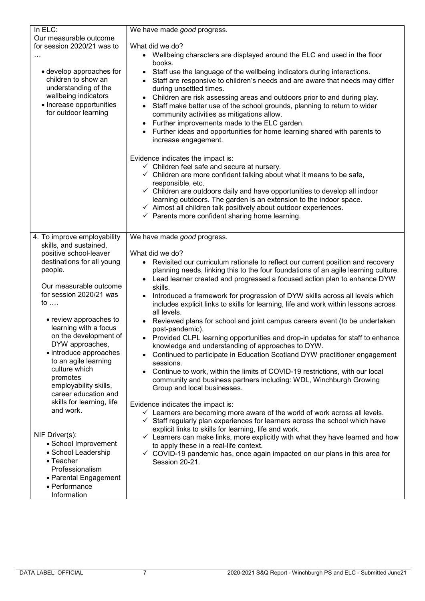| In ELC:                                                                                                                                             | We have made good progress.                                                                                                                                                                                                                                                                                                                                                                                                                                                                                                                                            |  |
|-----------------------------------------------------------------------------------------------------------------------------------------------------|------------------------------------------------------------------------------------------------------------------------------------------------------------------------------------------------------------------------------------------------------------------------------------------------------------------------------------------------------------------------------------------------------------------------------------------------------------------------------------------------------------------------------------------------------------------------|--|
| Our measurable outcome                                                                                                                              |                                                                                                                                                                                                                                                                                                                                                                                                                                                                                                                                                                        |  |
| for session 2020/21 was to                                                                                                                          | What did we do?                                                                                                                                                                                                                                                                                                                                                                                                                                                                                                                                                        |  |
|                                                                                                                                                     | Wellbeing characters are displayed around the ELC and used in the floor<br>books.                                                                                                                                                                                                                                                                                                                                                                                                                                                                                      |  |
| • develop approaches for<br>children to show an<br>understanding of the<br>wellbeing indicators<br>• Increase opportunities<br>for outdoor learning | Staff use the language of the wellbeing indicators during interactions.<br>$\bullet$<br>Staff are responsive to children's needs and are aware that needs may differ<br>during unsettled times.<br>Children are risk assessing areas and outdoors prior to and during play.<br>Staff make better use of the school grounds, planning to return to wider<br>$\bullet$<br>community activities as mitigations allow.<br>Further improvements made to the ELC garden.<br>Further ideas and opportunities for home learning shared with parents to<br>increase engagement. |  |
|                                                                                                                                                     | Evidence indicates the impact is:                                                                                                                                                                                                                                                                                                                                                                                                                                                                                                                                      |  |
|                                                                                                                                                     | $\checkmark$ Children feel safe and secure at nursery.                                                                                                                                                                                                                                                                                                                                                                                                                                                                                                                 |  |
|                                                                                                                                                     | $\checkmark$ Children are more confident talking about what it means to be safe,                                                                                                                                                                                                                                                                                                                                                                                                                                                                                       |  |
|                                                                                                                                                     | responsible, etc.<br>$\checkmark$ Children are outdoors daily and have opportunities to develop all indoor                                                                                                                                                                                                                                                                                                                                                                                                                                                             |  |
|                                                                                                                                                     | learning outdoors. The garden is an extension to the indoor space.                                                                                                                                                                                                                                                                                                                                                                                                                                                                                                     |  |
|                                                                                                                                                     | ✓ Almost all children talk positively about outdoor experiences.                                                                                                                                                                                                                                                                                                                                                                                                                                                                                                       |  |
|                                                                                                                                                     | $\checkmark$ Parents more confident sharing home learning.                                                                                                                                                                                                                                                                                                                                                                                                                                                                                                             |  |
|                                                                                                                                                     |                                                                                                                                                                                                                                                                                                                                                                                                                                                                                                                                                                        |  |
| 4. To improve employability                                                                                                                         | We have made good progress.                                                                                                                                                                                                                                                                                                                                                                                                                                                                                                                                            |  |
| skills, and sustained,<br>positive school-leaver                                                                                                    | What did we do?                                                                                                                                                                                                                                                                                                                                                                                                                                                                                                                                                        |  |
| destinations for all young                                                                                                                          | • Revisited our curriculum rationale to reflect our current position and recovery                                                                                                                                                                                                                                                                                                                                                                                                                                                                                      |  |
| people.                                                                                                                                             | planning needs, linking this to the four foundations of an agile learning culture.                                                                                                                                                                                                                                                                                                                                                                                                                                                                                     |  |
|                                                                                                                                                     | Lead learner created and progressed a focused action plan to enhance DYW                                                                                                                                                                                                                                                                                                                                                                                                                                                                                               |  |
| Our measurable outcome                                                                                                                              | skills.                                                                                                                                                                                                                                                                                                                                                                                                                                                                                                                                                                |  |
| for session 2020/21 was                                                                                                                             | Introduced a framework for progression of DYW skills across all levels which<br>$\bullet$                                                                                                                                                                                                                                                                                                                                                                                                                                                                              |  |
| to                                                                                                                                                  | includes explicit links to skills for learning, life and work within lessons across                                                                                                                                                                                                                                                                                                                                                                                                                                                                                    |  |
| • review approaches to                                                                                                                              | all levels.                                                                                                                                                                                                                                                                                                                                                                                                                                                                                                                                                            |  |
| learning with a focus                                                                                                                               | Reviewed plans for school and joint campus careers event (to be undertaken<br>post-pandemic).                                                                                                                                                                                                                                                                                                                                                                                                                                                                          |  |
| on the development of                                                                                                                               | • Provided CLPL learning opportunities and drop-in updates for staff to enhance                                                                                                                                                                                                                                                                                                                                                                                                                                                                                        |  |
| DYW approaches,                                                                                                                                     | knowledge and understanding of approaches to DYW.                                                                                                                                                                                                                                                                                                                                                                                                                                                                                                                      |  |
| • introduce approaches                                                                                                                              | Continued to participate in Education Scotland DYW practitioner engagement                                                                                                                                                                                                                                                                                                                                                                                                                                                                                             |  |
| to an agile learning<br>culture which                                                                                                               | sessions.                                                                                                                                                                                                                                                                                                                                                                                                                                                                                                                                                              |  |
| promotes                                                                                                                                            | Continue to work, within the limits of COVID-19 restrictions, with our local<br>$\bullet$                                                                                                                                                                                                                                                                                                                                                                                                                                                                              |  |
| employability skills,                                                                                                                               | community and business partners including: WDL, Winchburgh Growing                                                                                                                                                                                                                                                                                                                                                                                                                                                                                                     |  |
| career education and                                                                                                                                | Group and local businesses.                                                                                                                                                                                                                                                                                                                                                                                                                                                                                                                                            |  |
| skills for learning, life                                                                                                                           | Evidence indicates the impact is:                                                                                                                                                                                                                                                                                                                                                                                                                                                                                                                                      |  |
| and work.                                                                                                                                           | $\checkmark$ Learners are becoming more aware of the world of work across all levels.                                                                                                                                                                                                                                                                                                                                                                                                                                                                                  |  |
|                                                                                                                                                     | Staff regularly plan experiences for learners across the school which have<br>$\checkmark$                                                                                                                                                                                                                                                                                                                                                                                                                                                                             |  |
| NIF Driver(s):                                                                                                                                      | explicit links to skills for learning, life and work.                                                                                                                                                                                                                                                                                                                                                                                                                                                                                                                  |  |
| • School Improvement                                                                                                                                | $\checkmark$ Learners can make links, more explicitly with what they have learned and how                                                                                                                                                                                                                                                                                                                                                                                                                                                                              |  |
| • School Leadership                                                                                                                                 | to apply these in a real-life context.<br>$\checkmark$ COVID-19 pandemic has, once again impacted on our plans in this area for                                                                                                                                                                                                                                                                                                                                                                                                                                        |  |
| $\bullet$ Teacher                                                                                                                                   | Session 20-21.                                                                                                                                                                                                                                                                                                                                                                                                                                                                                                                                                         |  |
| Professionalism                                                                                                                                     |                                                                                                                                                                                                                                                                                                                                                                                                                                                                                                                                                                        |  |
| • Parental Engagement                                                                                                                               |                                                                                                                                                                                                                                                                                                                                                                                                                                                                                                                                                                        |  |
| • Performance                                                                                                                                       |                                                                                                                                                                                                                                                                                                                                                                                                                                                                                                                                                                        |  |
| Information                                                                                                                                         |                                                                                                                                                                                                                                                                                                                                                                                                                                                                                                                                                                        |  |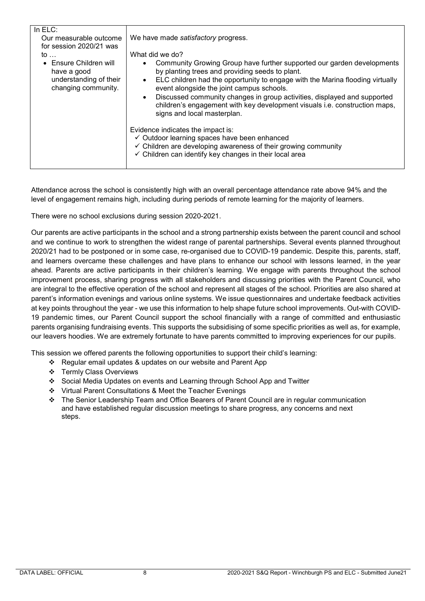| We have made satisfactory progress.<br>What did we do?<br>Community Growing Group have further supported our garden developments<br>by planting trees and providing seeds to plant.<br>ELC children had the opportunity to engage with the Marina flooding virtually<br>$\bullet$<br>event alongside the joint campus schools.<br>Discussed community changes in group activities, displayed and supported<br>$\bullet$<br>children's engagement with key development visuals i.e. construction maps,<br>signs and local masterplan.<br>Evidence indicates the impact is: |
|---------------------------------------------------------------------------------------------------------------------------------------------------------------------------------------------------------------------------------------------------------------------------------------------------------------------------------------------------------------------------------------------------------------------------------------------------------------------------------------------------------------------------------------------------------------------------|
| ✓ Outdoor learning spaces have been enhanced<br>$\checkmark$ Children are developing awareness of their growing community<br>✓ Children can identify key changes in their local area                                                                                                                                                                                                                                                                                                                                                                                      |
|                                                                                                                                                                                                                                                                                                                                                                                                                                                                                                                                                                           |

Attendance across the school is consistently high with an overall percentage attendance rate above 94% and the level of engagement remains high, including during periods of remote learning for the majority of learners.

There were no school exclusions during session 2020-2021.

Our parents are active participants in the school and a strong partnership exists between the parent council and school and we continue to work to strengthen the widest range of parental partnerships. Several events planned throughout 2020/21 had to be postponed or in some case, re-organised due to COVID-19 pandemic. Despite this, parents, staff, and learners overcame these challenges and have plans to enhance our school with lessons learned, in the year ahead. Parents are active participants in their children's learning. We engage with parents throughout the school improvement process, sharing progress with all stakeholders and discussing priorities with the Parent Council, who are integral to the effective operation of the school and represent all stages of the school. Priorities are also shared at parent's information evenings and various online systems. We issue questionnaires and undertake feedback activities at key points throughout the year - we use this information to help shape future school improvements. Out-with COVID-19 pandemic times, our Parent Council support the school financially with a range of committed and enthusiastic parents organising fundraising events. This supports the subsidising of some specific priorities as well as, for example, our leavers hoodies. We are extremely fortunate to have parents committed to improving experiences for our pupils.

This session we offered parents the following opportunities to support their child's learning:

- Regular email updates & updates on our website and Parent App
- Termly Class Overviews
- Social Media Updates on events and Learning through School App and Twitter
- Virtual Parent Consultations & Meet the Teacher Evenings
- The Senior Leadership Team and Office Bearers of Parent Council are in regular communication and have established regular discussion meetings to share progress, any concerns and next steps.